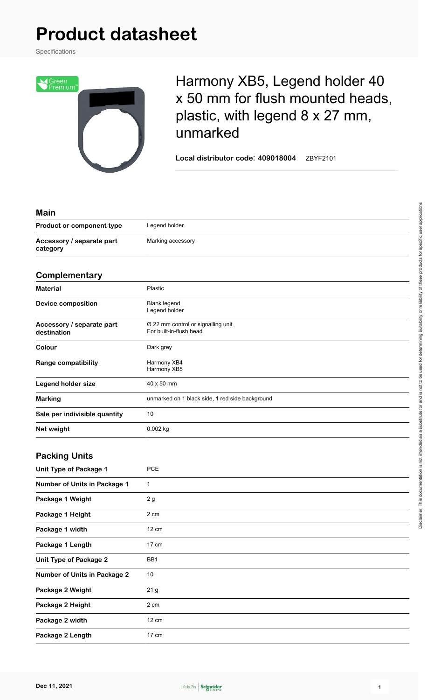## **Product datasheet**

Specifications



## Harmony XB5, Legend holder 40 x 50 mm for flush mounted heads, plastic, with legend 8 x 27 mm, unmarked

**Local distributor code**: **409018004** ZBYF2101

| <b>Main</b>                              |                                                               |
|------------------------------------------|---------------------------------------------------------------|
| Product or component type                | Legend holder                                                 |
| Accessory / separate part<br>category    | Marking accessory                                             |
| Complementary                            |                                                               |
| <b>Material</b>                          | Plastic                                                       |
| <b>Device composition</b>                | <b>Blank legend</b><br>Legend holder                          |
| Accessory / separate part<br>destination | Ø 22 mm control or signalling unit<br>For built-in-flush head |
| Colour                                   | Dark grey                                                     |
| <b>Range compatibility</b>               | Harmony XB4<br>Harmony XB5                                    |
| <b>Legend holder size</b>                | 40 x 50 mm                                                    |
| <b>Marking</b>                           | unmarked on 1 black side, 1 red side background               |
| Sale per indivisible quantity            | 10                                                            |
| Net weight                               | 0.002 kg                                                      |
| <b>Packing Units</b>                     |                                                               |
| Unit Type of Package 1                   | <b>PCE</b>                                                    |
| <b>Number of Units in Package 1</b>      | $\mathbf{1}$                                                  |
| Package 1 Weight                         | 2g                                                            |
| Package 1 Height                         | 2 cm                                                          |
| Package 1 width                          | 12 cm                                                         |
| Package 1 Length                         | 17 cm                                                         |
| Unit Type of Package 2                   | BB1                                                           |
| <b>Number of Units in Package 2</b>      | $10$                                                          |
| Package 2 Weight                         | 21 <sub>g</sub>                                               |
| Package 2 Height                         | 2 cm                                                          |
| Package 2 width                          | 12 cm                                                         |
| Package 2 Length                         | 17 cm                                                         |
|                                          |                                                               |